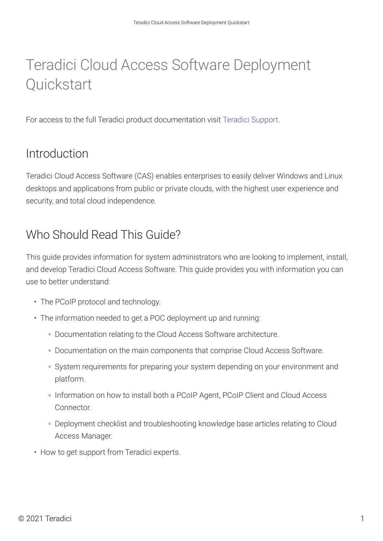# Teradici Cloud Access Software Deployment **Quickstart**

For access to the full Teradici product documentation visit [Teradici Support.](https://techsupport.teradici.com/ics/support/KBAnswer.asp?questionID=3110&title=&deptID=15164)

## Introduction

Teradici Cloud Access Software (CAS) enables enterprises to easily deliver Windows and Linux desktops and applications from public or private clouds, with the highest user experience and security, and total cloud independence.

## Who Should Read This Guide?

This guide provides information for system administrators who are looking to implement, install, and develop Teradici Cloud Access Software. This guide provides you with information you can use to better understand:

- The PCoIP protocol and technology.
- The information needed to get a POC deployment up and running:
	- Documentation relating to the Cloud Access Software architecture.
	- Documentation on the main components that comprise Cloud Access Software.
	- System requirements for preparing your system depending on your environment and platform.
	- Information on how to install both a PCoIP Agent, PCoIP Client and Cloud Access Connector.
	- Deployment checklist and troubleshooting knowledge base articles relating to Cloud Access Manager.
- How to get support from Teradici experts.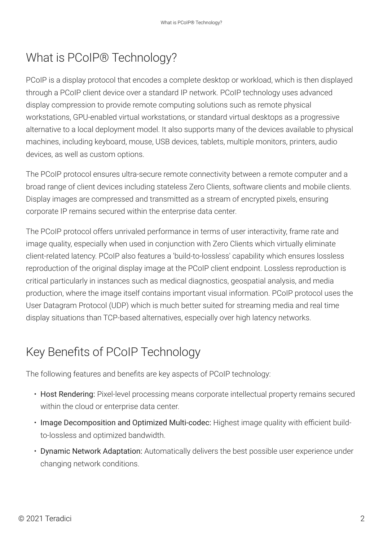## What is PCoIP® Technology?

PCoIP is a display protocol that encodes a complete desktop or workload, which is then displayed through a PCoIP client device over a standard IP network. PCoIP technology uses advanced display compression to provide remote computing solutions such as remote physical workstations, GPU-enabled virtual workstations, or standard virtual desktops as a progressive alternative to a local deployment model. It also supports many of the devices available to physical machines, including keyboard, mouse, USB devices, tablets, multiple monitors, printers, audio devices, as well as custom options.

The PCoIP protocol ensures ultra-secure remote connectivity between a remote computer and a broad range of client devices including stateless Zero Clients, software clients and mobile clients. Display images are compressed and transmitted as a stream of encrypted pixels, ensuring corporate IP remains secured within the enterprise data center.

The PCoIP protocol offers unrivaled performance in terms of user interactivity, frame rate and image quality, especially when used in conjunction with Zero Clients which virtually eliminate client-related latency. PCoIP also features a 'build-to-lossless' capability which ensures lossless reproduction of the original display image at the PCoIP client endpoint. Lossless reproduction is critical particularly in instances such as medical diagnostics, geospatial analysis, and media production, where the image itself contains important visual information. PCoIP protocol uses the User Datagram Protocol (UDP) which is much better suited for streaming media and real time display situations than TCP-based alternatives, especially over high latency networks.

## Key Benefits of PCoIP Technology

The following features and benefits are key aspects of PCoIP technology:

- Host Rendering: Pixel-level processing means corporate intellectual property remains secured within the cloud or enterprise data center.
- Image Decomposition and Optimized Multi-codec: Highest image quality with efficient buildto-lossless and optimized bandwidth.
- Dynamic Network Adaptation: Automatically delivers the best possible user experience under changing network conditions.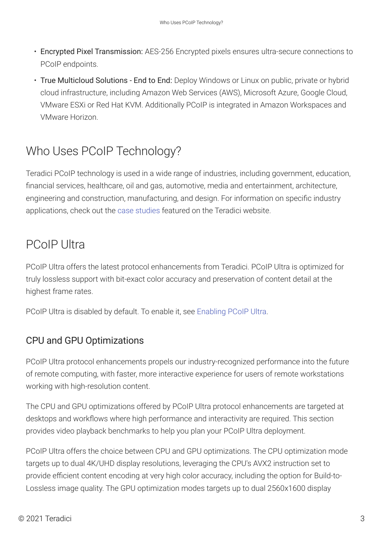- Encrypted Pixel Transmission: AES-256 Encrypted pixels ensures ultra-secure connections to PCoIP endpoints.
- True Multicloud Solutions End to End: Deploy Windows or Linux on public, private or hybrid cloud infrastructure, including Amazon Web Services (AWS), Microsoft Azure, Google Cloud, VMware ESXi or Red Hat KVM. Additionally PCoIP is integrated in Amazon Workspaces and VMware Horizon.

## Who Uses PCoIP Technology?

Teradici PCoIP technology is used in a wide range of industries, including government, education, financial services, healthcare, oil and gas, automotive, media and entertainment, architecture, engineering and construction, manufacturing, and design. For information on specific industry applications, check out the [case studies](http://www.teradici.com/resource-center/case-studies) featured on the Teradici website.

### PCoIP Ultra

PCoIP Ultra offers the latest protocol enhancements from Teradici. PCoIP Ultra is optimized for truly lossless support with bit-exact color accuracy and preservation of content detail at the highest frame rates.

PCoIP Ultra is disabled by default. To enable it, see [Enabling PCoIP Ultra](https://www.teradici.com/web-help/pcoip_agent/standard_agent/windows/current/admin-guide/features/pcoip/ultra/).

#### CPU and GPU Optimizations

PCoIP Ultra protocol enhancements propels our industry-recognized performance into the future of remote computing, with faster, more interactive experience for users of remote workstations working with high-resolution content.

The CPU and GPU optimizations offered by PCoIP Ultra protocol enhancements are targeted at desktops and workflows where high performance and interactivity are required. This section provides video playback benchmarks to help you plan your PCoIP Ultra deployment.

PCoIP Ultra offers the choice between CPU and GPU optimizations. The CPU optimization mode targets up to dual 4K/UHD display resolutions, leveraging the CPU's AVX2 instruction set to provide efficient content encoding at very high color accuracy, including the option for Build-to-Lossless image quality. The GPU optimization modes targets up to dual 2560x1600 display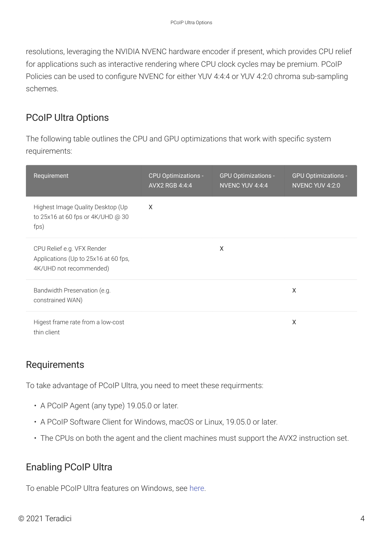resolutions, leveraging the NVIDIA NVENC hardware encoder if present, which provides CPU relief for applications such as interactive rendering where CPU clock cycles may be premium. PCoIP Policies can be used to configure NVENC for either YUV 4:4:4 or YUV 4:2:0 chroma sub-sampling schemes.

#### PCoIP Ultra Options

The following table outlines the CPU and GPU optimizations that work with specific system requirements:

| Requirement                                                                                   | <b>CPU Optimizations -</b><br>AVX2 RGB 4:4:4 | <b>GPU Optimizations -</b><br>NVENC YUV 4:4:4 | <b>GPU Optimizations -</b><br>NVENC YUV 4:2:0 |
|-----------------------------------------------------------------------------------------------|----------------------------------------------|-----------------------------------------------|-----------------------------------------------|
| Highest Image Quality Desktop (Up<br>to 25x16 at 60 fps or 4K/UHD @ 30<br>fps)                | X                                            |                                               |                                               |
| CPU Relief e.g. VFX Render<br>Applications (Up to 25x16 at 60 fps,<br>4K/UHD not recommended) |                                              | X                                             |                                               |
| Bandwidth Preservation (e.g.<br>constrained WAN)                                              |                                              |                                               | X                                             |
| Higest frame rate from a low-cost<br>thin client                                              |                                              |                                               | Χ                                             |

#### Requirements

To take advantage of PCoIP Ultra, you need to meet these requirments:

- A PCoIP Agent (any type) 19.05.0 or later.
- A PCoIP Software Client for Windows, macOS or Linux, 19.05.0 or later.
- The CPUs on both the agent and the client machines must support the AVX2 instruction set.

#### Enabling PCoIP Ultra

To enable PCoIP Ultra features on Windows, see [here.](https://www.teradici.com/web-help/pcoip_agent/standard_agent/windows/current/admin-guide/features/pcoip/ultra/#enabling-pcoip-ultra)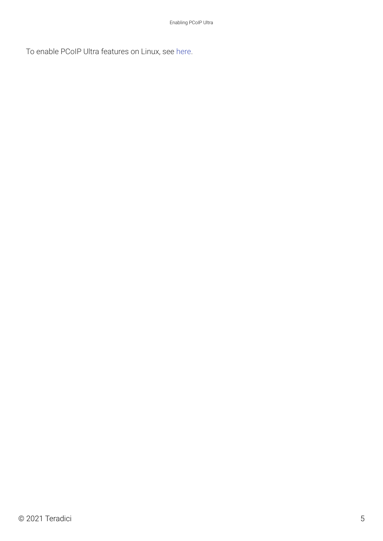To enable PCoIP Ultra features on Linux, see [here](https://www.teradici.com/web-help/pcoip_agent/standard_agent/linux/current/admin-guide/features/pcoip/ultra/#enabling-pcoip-ultra).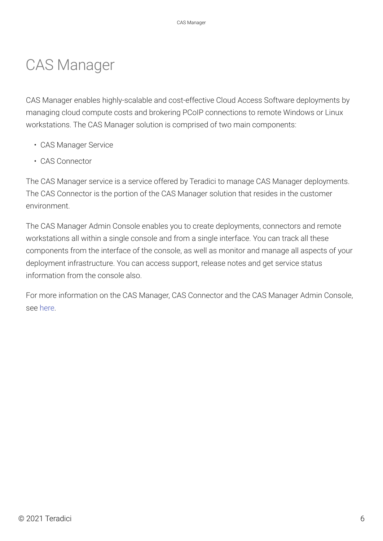# CAS Manager

CAS Manager enables highly-scalable and cost-effective Cloud Access Software deployments by managing cloud compute costs and brokering PCoIP connections to remote Windows or Linux workstations. The CAS Manager solution is comprised of two main components:

- CAS Manager Service
- CAS Connector

The CAS Manager service is a service offered by Teradici to manage CAS Manager deployments. The CAS Connector is the portion of the CAS Manager solution that resides in the customer environment.

The CAS Manager Admin Console enables you to create deployments, connectors and remote workstations all within a single console and from a single interface. You can track all these components from the interface of the console, as well as monitor and manage all aspects of your deployment infrastructure. You can access support, release notes and get service status information from the console also.

For more information on the CAS Manager, CAS Connector and the CAS Manager Admin Console, see [here.](https://www.teradici.com/web-help/pcoip_cloud_access_manager/CACv2/)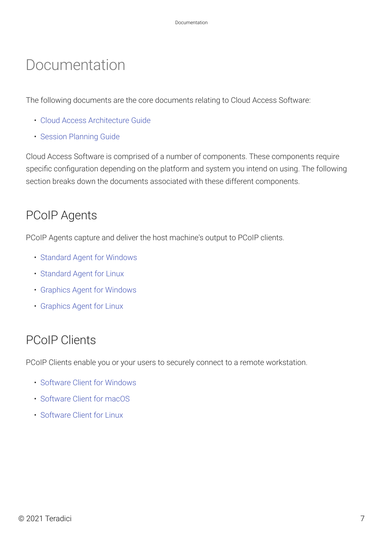# Documentation

The following documents are the core documents relating to Cloud Access Software:

- [Cloud Access Architecture Guide](http://www.teradici.com/web-help/pcoip_cloud_access_arch/current/)
- [Session Planning Guide](http://www.teradici.com/web-help/pcoip_session_planning/current/)

Cloud Access Software is comprised of a number of components. These components require specific configuration depending on the platform and system you intend on using. The following section breaks down the documents associated with these different components.

#### PCoIP Agents

PCoIP Agents capture and deliver the host machine's output to PCoIP clients.

- [Standard Agent for Windows](https://www.teradici.com/web-help/pcoip_agent/standard_agent/windows/current/)
- [Standard Agent for Linux](https://www.teradici.com/web-help/pcoip_agent/standard_agent/linux/current/)
- [Graphics Agent for Windows](https://www.teradici.com/web-help/pcoip_agent/graphics_agent/windows/current/)
- [Graphics Agent for Linux](https://www.teradici.com/web-help/pcoip_agent/graphics_agent/linux/current/)

### PCoIP Clients

PCoIP Clients enable you or your users to securely connect to a remote workstation.

- [Software Client for Windows](http://www.teradici.com/web-help/pcoip_client/windows/current/)
- [Software Client for macOS](http://www.teradici.com/web-help/pcoip_client/mac/current/)
- [Software Client for Linux](http://www.teradici.com/web-help/pcoip_client/linux/current/)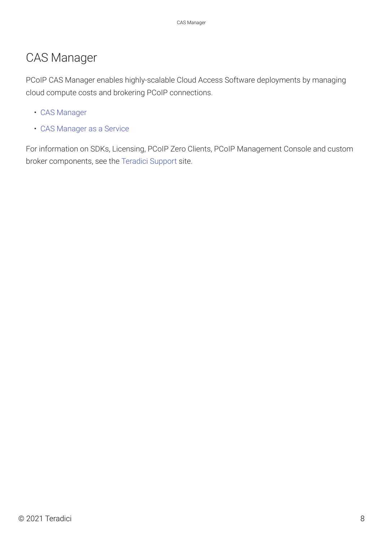#### CAS Manager

PCoIP CAS Manager enables highly-scalable Cloud Access Software deployments by managing cloud compute costs and brokering PCoIP connections.

- [CAS Manager](https://www.teradici.com/web-help/cas_manager/21.07/cam_standalone_installation/prod_environment/)
- [CAS Manager as a Service](https://www.teradici.com/web-help/cas_manager_as_a_service/)

For information on SDKs, Licensing, PCoIP Zero Clients, PCoIP Management Console and custom broker components, see the [Teradici Support](https://docs.teradici.com/find/subscription/cloud-access-plus/product/cloud-access-software/component?productrelease=current) site.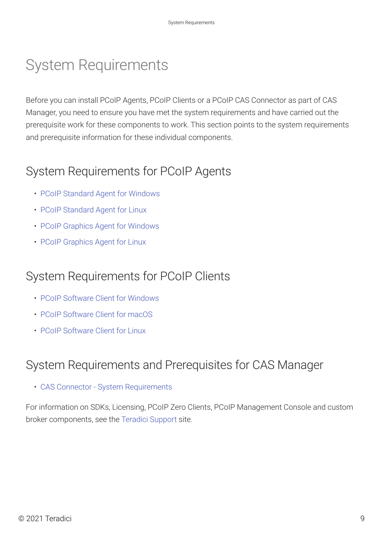# System Requirements

Before you can install PCoIP Agents, PCoIP Clients or a PCoIP CAS Connector as part of CAS Manager, you need to ensure you have met the system requirements and have carried out the prerequisite work for these components to work. This section points to the system requirements and prerequisite information for these individual components.

### System Requirements for PCoIP Agents

- [PCoIP Standard Agent for Windows](https://www.teradici.com/web-help/pcoip_agent/standard_agent/windows/current/admin-guide/requirements/system-requirements/)
- [PCoIP Standard Agent for Linux](https://www.teradici.com/web-help/pcoip_agent/standard_agent/linux/current/admin-guide/requirements/system-requirements/)
- [PCoIP Graphics Agent for Windows](https://www.teradici.com/web-help/pcoip_agent/graphics_agent/windows/current/admin-guide/requirements/system-requirements/)
- [PCoIP Graphics Agent for Linux](https://www.teradici.com/web-help/pcoip_agent/graphics_agent/linux/current/admin-guide/requirements/system-requirements/)

### System Requirements for PCoIP Clients

- [PCoIP Software Client for Windows](http://www.teradici.com/web-help/pcoip_client/windows/current/overview/system_requirements/)
- [PCoIP Software Client for macOS](http://www.teradici.com/web-help/pcoip_client/mac/current/overview/system_requirements/)
- [PCoIP Software Client for Linux](http://www.teradici.com/web-help/pcoip_client/linux/current/overview/system_requirements/)

### System Requirements and Prerequisites for CAS Manager

• [CAS Connector - System Requirements](https://www.teradici.com/web-help/cas_manager/21.07/cloud_access_connector/cac_server/)

For information on SDKs, Licensing, PCoIP Zero Clients, PCoIP Management Console and custom broker components, see the [Teradici Support](https://docs.teradici.com/find/subscription/cloud-access-plus/product/cloud-access-software/component?productrelease=current) site.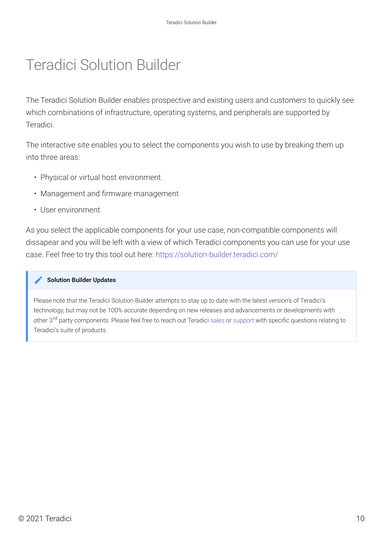# Teradici Solution Builder

The Teradici Solution Builder enables prospective and existing users and customers to quickly see which combinations of infrastructure, operating systems, and peripherals are supported by Teradici.

The interactive site enables you to select the components you wish to use by breaking them up into three areas:

- Physical or virtual host environment
- Management and firmware management
- User environment

As you select the applicable components for your use case, non-compatible components will dissapear and you will be left with a view of which Teradici components you can use for your use case. Feel free to try this tool out here:<https://solution-builder.teradici.com/>

#### **Solution Builder Updates Contract Contract Contract Contract**

Please note that the Teradici Solution Builder attempts to stay up to date with the latest version's of Teradici's technology, but may not be 100% accurate depending on new releases and advancements or developments with other 3<sup>rd</sup> party components. Please feel free to reach out Teradici [sales](https://connect.teradici.com/contact-us) or [support](https://help.teradici.com/s/contactsupport) with specific questions relating to Teradici's suite of products.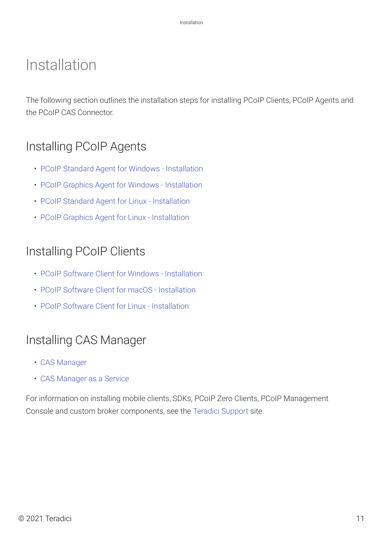## Installation

The following section outlines the installation steps for installing PCoIP Clients, PCoIP Agents and the PCoIP CAS Connector.

### Installing PCoIP Agents

- [PCoIP Standard Agent for Windows Installation](https://www.teradici.com/web-help/pcoip_agent/standard_agent/windows/current/admin-guide/installing/overview/)
- [PCoIP Graphics Agent for Windows Installation](https://www.teradici.com/web-help/pcoip_agent/graphics_agent/windows/current/admin-guide/installing/overview/)
- [PCoIP Standard Agent for Linux Installation](https://www.teradici.com/web-help/pcoip_agent/standard_agent/linux/current/admin-guide/installing/installing/)
- [PCoIP Graphics Agent for Linux Installation](https://www.teradici.com/web-help/pcoip_agent/graphics_agent/linux/current/admin-guide/installing/installing/)

#### Installing PCoIP Clients

- [PCoIP Software Client for Windows Installation](http://www.teradici.com/web-help/pcoip_client/windows/current/installation/installing_uninstalling_Software_clients/)
- [PCoIP Software Client for macOS Installation](http://www.teradici.com/web-help/pcoip_client/mac/current/installation/installing_and_uninstalling_pcoip_software_clients/)
- [PCoIP Software Client for Linux Installation](http://www.teradici.com/web-help/pcoip_client/linux/current/installation/installing_the_client_overview/)

#### Installing CAS Manager

- [CAS Manager](https://www.teradici.com/web-help/cas_manager/21.07/cam_standalone_installation/prod_environment/)
- [CAS Manager as a Service](https://www.teradici.com/web-help/cas_manager_as_a_service/)

For information on installing mobile clients, SDKs, PCoIP Zero Clients, PCoIP Management Console and custom broker components, see the [Teradici Support](https://docs.teradici.com/find/subscription/cloud-access-plus/product/cloud-access-software/component?productrelease=current) site.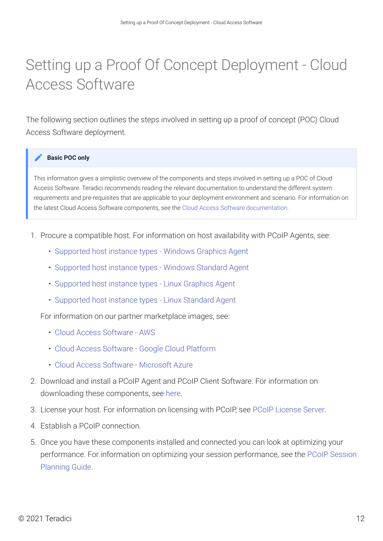# Setting up a Proof Of Concept Deployment - Cloud Access Software

The following section outlines the steps involved in setting up a proof of concept (POC) Cloud Access Software deployment.

#### **Basic POC only Contract Contract Contract Contract**

This information gives a simplistic overview of the components and steps involved in setting up a POC of Cloud Access Software. Teradici recommends reading the relevant documentation to understand the different system requirements and pre-requisites that are applicable to your deployment environment and scenario. For information on the latest Cloud Access Software components, see the [Cloud Access Software documentation.](https://docs.teradici.com/find/subscription/cloud-access-plus/product/cloud-access-software/component?productrelease=current)

- 1. Procure a compatible host. For information on host availability with PCoIP Agents, see:
	- [Supported host instance types Windows Graphics Agent](https://www.teradici.com/web-help/pcoip_agent/graphics_agent/windows/20.07/admin-guide/requirements/system-requirements/#supported-host-instance-types)
	- [Supported host instance types Windows Standard Agent](https://www.teradici.com/web-help/pcoip_agent/standard_agent/windows/20.07/admin-guide/requirements/system-requirements/#supported-instance-types)
	- [Supported host instance types Linux Graphics Agent](https://www.teradici.com/web-help/pcoip_agent/graphics_agent/linux/20.07/admin-guide/requirements/system-requirements/#supported-host-instance-types)
	- [Supported host instance types Linux Standard Agent](https://www.teradici.com/web-help/pcoip_agent/standard_agent/linux/20.07/)

For information on our partner marketplace images, see:

- [Cloud Access Software AWS](https://www.teradici.com/aws/)
- [Cloud Access Software Google Cloud Platform](https://www.teradici.com/google/)
- [Cloud Access Software Microsoft Azure](https://www.teradici.com/microsoft/)
- 2. Download and install a PCoIP Agent and PCoIP Client Software. For information on downloading these components, see [here.](https://docs.teradici.com/find/product/cloud-access-software/2020.07?subscriptionName=cloud-access)
- 3. License your host. For information on licensing with PCoIP, see [PCoIP License Server.](https://docs.teradici.com/find/product/cloud-access-software/2020.07/license-server?subscriptionName=cloud-access)
- 4. Establish a PCoIP connection.
- 5. Once you have these components installed and connected you can look at optimizing your performance. For information on optimizing your session performance, see the [PCoIP Session](https://www.teradici.com/web-help/pcoip_session_planning/current/) [Planning Guide.](https://www.teradici.com/web-help/pcoip_session_planning/current/)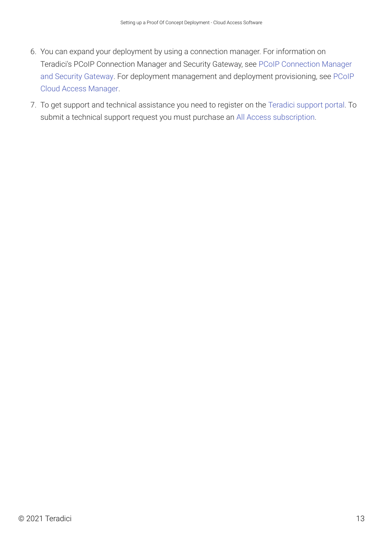- 6. You can expand your deployment by using a connection manager. For information on Teradici's PCoIP Connection Manager and Security Gateway, see [PCoIP Connection Manager](https://www.teradici.com/web-help/pcoip_connection_manager_security_gateway/20.04_20.04/) [and Security Gateway.](https://www.teradici.com/web-help/pcoip_connection_manager_security_gateway/20.04_20.04/) For deployment management and deployment provisioning, see [PCoIP](https://www.teradici.com/web-help/pcoip_cloud_access_manager/CACv2/) [Cloud Access Manager](https://www.teradici.com/web-help/pcoip_cloud_access_manager/CACv2/).
- 7. To get support and technical assistance you need to register on the [Teradici support portal.](https://help.teradici.com/s/contactsupport) To submit a technical support request you must purchase an [All Access subscription.](https://www.teradici.com/pricing)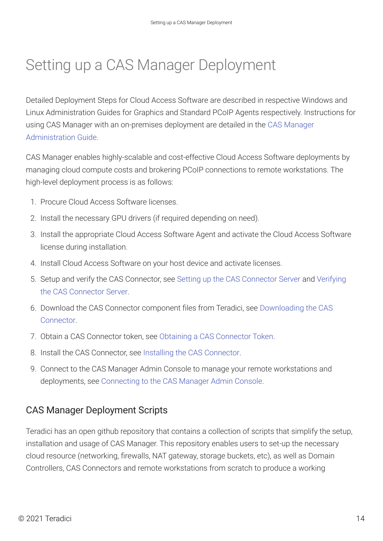# Setting up a CAS Manager Deployment

Detailed Deployment Steps for Cloud Access Software are described in respective Windows and Linux Administration Guides for Graphics and Standard PCoIP Agents respectively. Instructions for using CAS Manager with an on-premises deployment are detailed in the [CAS Manager](https://www.teradici.com/web-help/cas_manager/21.07/) [Administration Guide](https://www.teradici.com/web-help/cas_manager/21.07/).

CAS Manager enables highly-scalable and cost-effective Cloud Access Software deployments by managing cloud compute costs and brokering PCoIP connections to remote workstations. The high-level deployment process is as follows:

- 1. Procure Cloud Access Software licenses.
- 2. Install the necessary GPU drivers (if required depending on need).
- 3. Install the appropriate Cloud Access Software Agent and activate the Cloud Access Software license during installation.
- 4. Install Cloud Access Software on your host device and activate licenses.
- 5. Setup and verify the CAS Connector, see [Setting up the CAS Connector Server](https://www.teradici.com/web-help/cas_manager/21.07/cloud_access_connector/cac_server/) and [Verifying](https://www.teradici.com/web-help/cas_manager/21.07/cloud_access_connector/cac_server/#verifying-the-cas-connector-server) [the CAS Connector Server.](https://www.teradici.com/web-help/cas_manager/21.07/cloud_access_connector/cac_server/#verifying-the-cas-connector-server)
- 6. Download the CAS Connector component files from Teradici, see [Downloading the CAS](https://www.teradici.com/web-help/cas_manager/21.07/cloud_access_connector/cac_install/#1-downloading-the-cas-connector) [Connector.](https://www.teradici.com/web-help/cas_manager/21.07/cloud_access_connector/cac_install/#1-downloading-the-cas-connector)
- 7. Obtain a CAS Connector token, see [Obtaining a CAS Connector Token.](https://www.teradici.com/web-help/cas_manager/21.07/cloud_access_connector/cac_install/#2-obtaining-the-cas-connector-token)
- 8. Install the CAS Connector, see [Installing the CAS Connector.](https://www.teradici.com/web-help/cas_manager/21.07/cloud_access_connector/cac_install/#3-installing-the-cas-connector)
- 9. Connect to the CAS Manager Admin Console to manage your remote workstations and deployments, see [Connecting to the CAS Manager Admin Console](https://www.teradici.com/web-help/cas_manager/21.07/admin_console/admin_console/).

#### CAS Manager Deployment Scripts

Teradici has an open github repository that contains a collection of scripts that simplify the setup, installation and usage of CAS Manager. This repository enables users to set-up the necessary cloud resource (networking, firewalls, NAT gateway, storage buckets, etc), as well as Domain Controllers, CAS Connectors and remote workstations from scratch to produce a working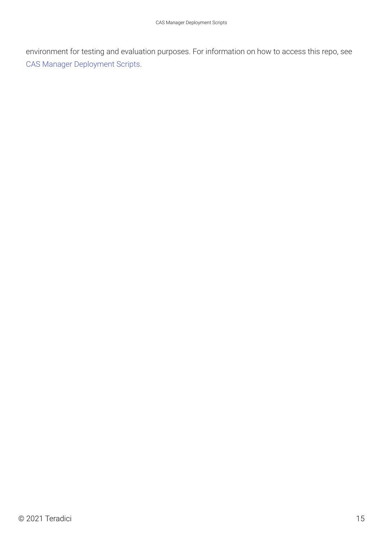environment for testing and evaluation purposes. For information on how to access this repo, see [CAS Manager Deployment Scripts](https://www.teradici.com/web-help/pcoip_cloud_access_manager/CACv2/reference/cam_repo/).